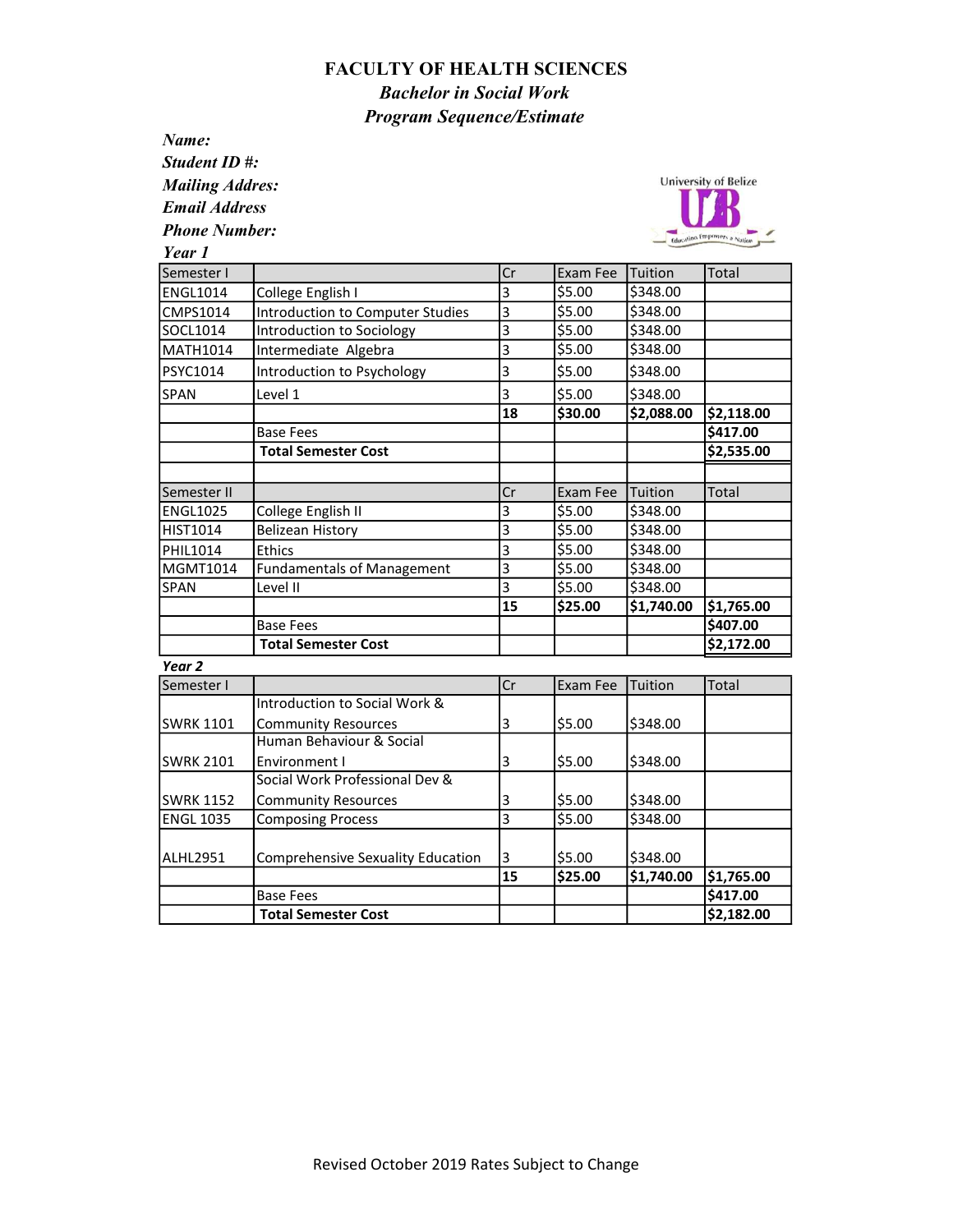## FACULTY OF HEALTH SCIENCES Bachelor in Social Work Program Sequence/Estimate

Name: Student ID #: Mailing Addres:

Email Address

Phone Number:

SWRK 1152

Social Work Professional Dev &



| Year 1            |                                         |    |          |            |            |
|-------------------|-----------------------------------------|----|----------|------------|------------|
| Semester I        |                                         | Cr | Exam Fee | Tuition    | Total      |
| <b>ENGL1014</b>   | College English I                       | 3  | \$5.00   | \$348.00   |            |
| CMPS1014          | <b>Introduction to Computer Studies</b> | 3  | \$5.00   | \$348.00   |            |
| SOCL1014          | Introduction to Sociology               | 3  | \$5.00   | \$348.00   |            |
| <b>MATH1014</b>   | Intermediate Algebra                    | 3  | \$5.00   | \$348.00   |            |
| PSYC1014          | Introduction to Psychology              | 3  | \$5.00   | \$348.00   |            |
| <b>SPAN</b>       | Level 1                                 | 3  | \$5.00   | \$348.00   |            |
|                   |                                         | 18 | \$30.00  | \$2,088.00 | \$2,118.00 |
|                   | <b>Base Fees</b>                        |    |          |            | \$417.00   |
|                   | <b>Total Semester Cost</b>              |    |          |            | \$2,535.00 |
| Semester II       |                                         | Cr | Exam Fee | Tuition    | Total      |
| <b>ENGL1025</b>   | College English II                      | 3  | \$5.00   | \$348.00   |            |
| HIST1014          | Belizean History                        | 3  | \$5.00   | \$348.00   |            |
| PHIL1014          | Ethics                                  | 3  | \$5.00   | \$348.00   |            |
| <b>MGMT1014</b>   | <b>Fundamentals of Management</b>       | 3  | \$5.00   | \$348.00   |            |
| <b>SPAN</b>       | Level II                                | 3  | \$5.00   | \$348.00   |            |
|                   |                                         | 15 | \$25.00  | \$1,740.00 | \$1,765.00 |
|                   | <b>Base Fees</b>                        |    |          |            | \$407.00   |
|                   | <b>Total Semester Cost</b>              |    |          |            | \$2,172.00 |
| Year <sub>2</sub> |                                         |    |          |            |            |
| Semester I        |                                         | Cr | Exam Fee | Tuition    | Total      |
|                   | Introduction to Social Work &           |    |          |            |            |
| <b>SWRK 1101</b>  | <b>Community Resources</b>              | 3  | \$5.00   | \$348.00   |            |
|                   | Human Behaviour & Social                |    |          |            |            |
| <b>SWRK 2101</b>  | Environment I                           | 3  | \$5.00   | \$348.00   |            |

Community Resources  $\begin{array}{ccc} \vert 3 \vert & \vert 55.00 \vert & \vert 5348.00 \vert \end{array}$ 

Base Fees \$417.00 Total Semester Cost **1988 1988 1988 1988 1988 1988 1988 1988 1988 1988 1988 1988 1988 1988** 

15 \$25.00 \$1,740.00 \$1,765.00

ENGL 1035 Composing Process 3 3 \$5.00 \$348.00

ALHL2951 Comprehensive Sexuality Education 3 | \$5.00 | \$348.00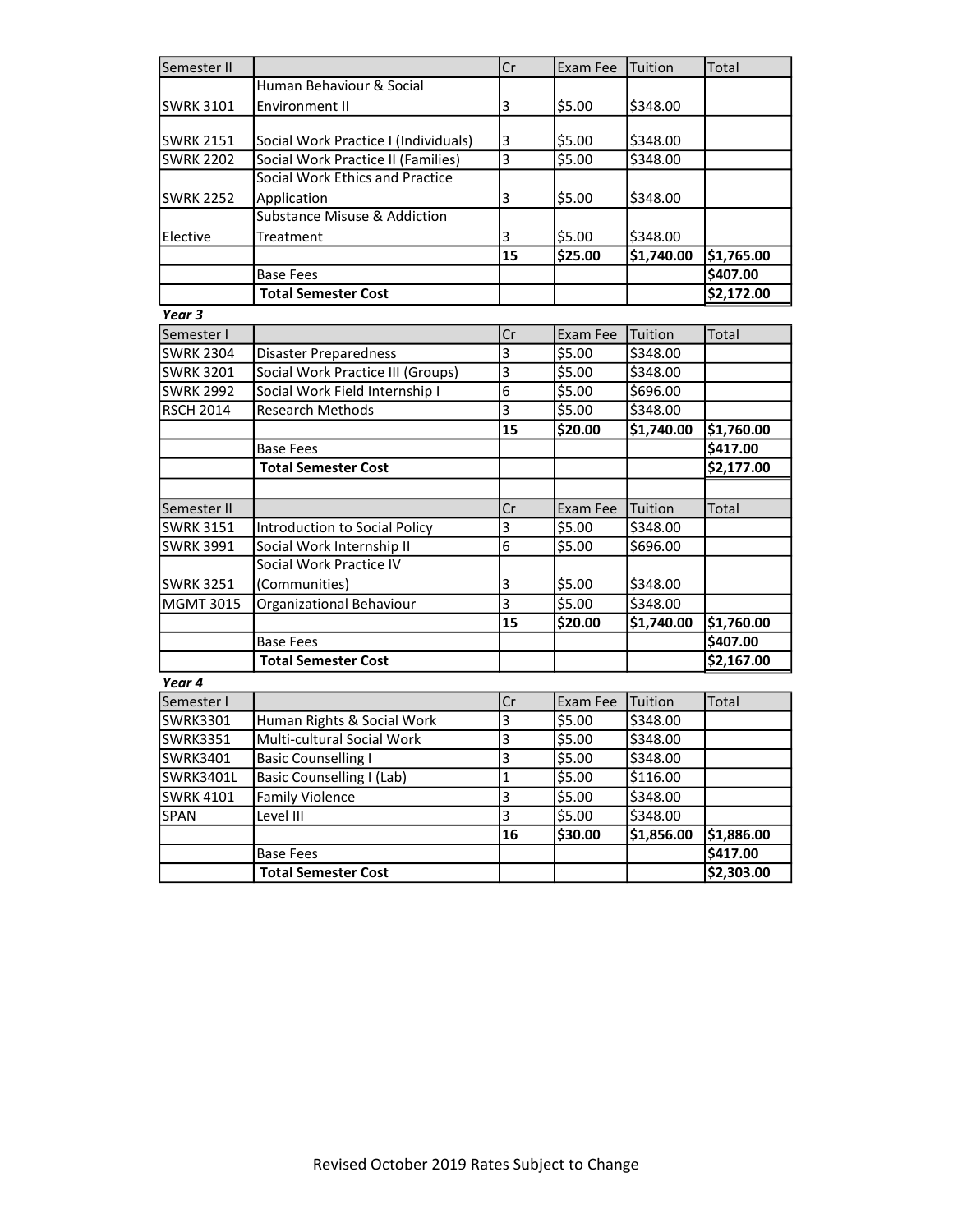| Semester II                          |                                                                   | Cr                      | Exam Fee           | Tuition    | Total                  |
|--------------------------------------|-------------------------------------------------------------------|-------------------------|--------------------|------------|------------------------|
|                                      | Human Behaviour & Social                                          |                         |                    |            |                        |
| <b>SWRK 3101</b>                     | Environment II                                                    | 3                       | \$5.00             | \$348.00   |                        |
|                                      |                                                                   |                         |                    |            |                        |
| <b>SWRK 2151</b>                     | Social Work Practice I (Individuals)                              | 3                       | \$5.00             | \$348.00   |                        |
| <b>SWRK 2202</b>                     | Social Work Practice II (Families)                                | $\overline{\mathbf{3}}$ | \$5.00             | \$348.00   |                        |
|                                      | Social Work Ethics and Practice                                   |                         |                    |            |                        |
| <b>SWRK 2252</b>                     | Application                                                       | 3                       | \$5.00             | \$348.00   |                        |
|                                      | <b>Substance Misuse &amp; Addiction</b>                           |                         |                    |            |                        |
| Elective                             | Treatment                                                         | 3                       | \$5.00             | \$348.00   |                        |
|                                      |                                                                   | 15                      | \$25.00            | \$1,740.00 | \$1,765.00             |
|                                      | <b>Base Fees</b>                                                  |                         |                    |            | \$407.00               |
|                                      | <b>Total Semester Cost</b>                                        |                         |                    |            | \$2,172.00             |
| Year 3                               |                                                                   |                         |                    |            |                        |
| Semester I                           |                                                                   | Cr                      | Exam Fee           | Tuition    | Total                  |
| <b>SWRK 2304</b>                     |                                                                   | 3                       | \$5.00             | \$348.00   |                        |
| <b>SWRK 3201</b>                     | <b>Disaster Preparedness</b><br>Social Work Practice III (Groups) | 3                       | \$5.00             | \$348.00   |                        |
|                                      | Social Work Field Internship I                                    | 6                       | \$5.00             | \$696.00   |                        |
| <b>SWRK 2992</b><br><b>RSCH 2014</b> | <b>Research Methods</b>                                           | 3                       | \$5.00             | \$348.00   |                        |
|                                      |                                                                   | 15                      | \$20.00            | \$1,740.00 |                        |
|                                      |                                                                   |                         |                    |            | \$1,760.00<br>\$417.00 |
|                                      | <b>Base Fees</b>                                                  |                         |                    |            |                        |
|                                      | <b>Total Semester Cost</b>                                        |                         |                    |            | \$2,177.00             |
|                                      |                                                                   |                         |                    |            |                        |
| Semester II                          |                                                                   | Cr                      | Exam Fee           | Tuition    | Total                  |
| <b>SWRK 3151</b>                     | Introduction to Social Policy                                     | 3                       | \$5.00             | \$348.00   |                        |
| <b>SWRK 3991</b>                     | Social Work Internship II                                         | $\overline{6}$          | $\overline{$}5.00$ | \$696.00   |                        |
|                                      | Social Work Practice IV                                           |                         |                    |            |                        |
| <b>SWRK 3251</b>                     | (Communities)                                                     | 3                       | \$5.00             | \$348.00   |                        |
| <b>MGMT 3015</b>                     | Organizational Behaviour                                          | $\overline{\mathbf{3}}$ | \$5.00             | \$348.00   |                        |
|                                      |                                                                   | 15                      | \$20.00            | \$1,740.00 | \$1,760.00             |
|                                      | <b>Base Fees</b>                                                  |                         |                    |            | \$407.00               |
|                                      | <b>Total Semester Cost</b>                                        |                         |                    |            | \$2,167.00             |
| Year 4                               |                                                                   |                         |                    |            |                        |
| Semester I                           |                                                                   | Cr                      | Exam Fee           | Tuition    | Total                  |
| <b>SWRK3301</b>                      | Human Rights & Social Work                                        | 3                       | \$5.00             | \$348.00   |                        |
| <b>SWRK3351</b>                      | <b>Multi-cultural Social Work</b>                                 | 3                       | \$5.00             | \$348.00   |                        |
| SWRK3401                             | <b>Basic Counselling I</b>                                        | 3                       | \$5.00             | \$348.00   |                        |
| <b>SWRK3401L</b>                     | Basic Counselling I (Lab)                                         | $\mathbf{1}$            | \$5.00             | \$116.00   |                        |
| <b>SWRK 4101</b>                     | <b>Family Violence</b>                                            | 3                       | \$5.00             | \$348.00   |                        |
| SPAN                                 | Level III                                                         | $\overline{3}$          | \$5.00             | \$348.00   |                        |
|                                      |                                                                   | 16                      | \$30.00            | \$1,856.00 | \$1,886.00             |
|                                      | <b>Base Fees</b>                                                  |                         |                    |            | \$417.00               |
|                                      | <b>Total Semester Cost</b>                                        |                         |                    |            | \$2,303.00             |